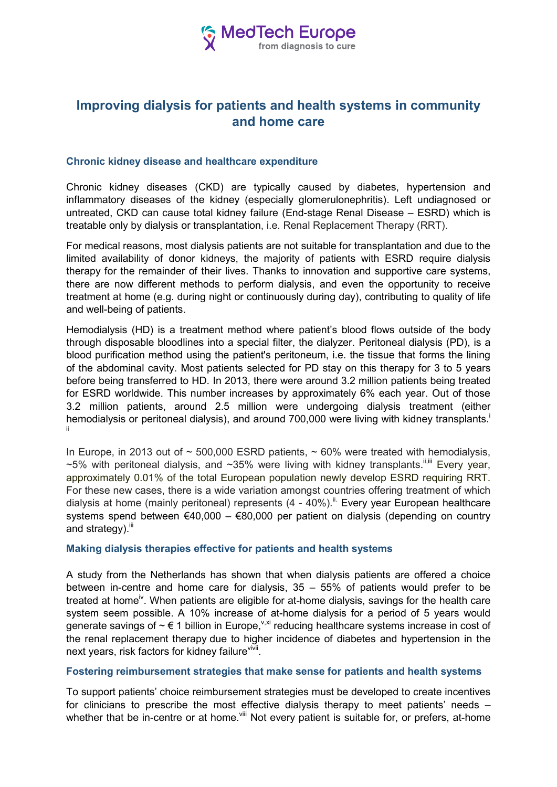

# **Improving dialysis for patients and health systems in community and home care**

## **Chronic kidney disease and healthcare expenditure**

Chronic kidney diseases (CKD) are typically caused by diabetes, hypertension and inflammatory diseases of the kidney (especially glomerulonephritis). Left undiagnosed or untreated, CKD can cause total kidney failure (End-stage Renal Disease – ESRD) which is treatable only by dialysis or transplantation, i.e. Renal Replacement Therapy (RRT).

For medical reasons, most dialysis patients are not suitable for transplantation and due to the limited availability of donor kidneys, the majority of patients with ESRD require dialysis therapy for the remainder of their lives. Thanks to innovation and supportive care systems, there are now different methods to perform dialysis, and even the opportunity to receive treatment at home (e.g. during night or continuously during day), contributing to quality of life and well-being of patients.

Hemodialysis (HD) is a treatment method where patient's blood flows outside of the body through disposable bloodlines into a special filter, the dialyzer. Peritoneal dialysis (PD), is a blood purification method using the patient's peritoneum, i.e. the tissue that forms the lining of the abdominal cavity. Most patients selected for PD stay on this therapy for 3 to 5 years before being transferred to HD. In 2013, there were around 3.2 million patients being treated for ESRD worldwide. This number increases by approximately 6% each year. Out of those 3.2 million patients, around 2.5 million were undergoing dialysis treatment (either hemodialysis or peritoneal dialysis), and around 700,000 were living with kidney transplants. ii

In Europe, in 2013 out of  $\sim$  500,000 ESRD patients,  $\sim$  60% were treated with hemodialysis,  $\sim$ 5% with peritoneal dialysis, and  $\sim$ 35% were living with kidney transplants.<sup>",""</sup> Every year, approximately 0.01% of the total European population newly develop ESRD requiring RRT. For these new cases, there is a wide variation amongst countries offering treatment of which dialysis at home (mainly peritoneal) represents (4 - 40%).<sup>ii.</sup> Every year European healthcare systems spend between  $\epsilon$ 40,000 –  $\epsilon$ 80,000 per patient on dialysis (depending on country and strategy). $iii$ 

#### **Making dialysis therapies effective for patients and health systems**

A study from the Netherlands has shown that when dialysis patients are offered a choice between in-centre and home care for dialysis, 35 – 55% of patients would prefer to be treated at home<sup>iv</sup>. When patients are eligible for at-home dialysis, savings for the health care system seem possible. A 10% increase of at-home dialysis for a period of 5 years would generate savings of  $\sim \epsilon$  1 billion in Europe, v,xi reducing healthcare systems increase in cost of the renal replacement therapy due to higher incidence of diabetes and hypertension in the next years, risk factors for kidney failure<sup>vivii</sup>.

### **Fostering reimbursement strategies that make sense for patients and health systems**

To support patients' choice reimbursement strategies must be developed to create incentives for clinicians to prescribe the most effective dialysis therapy to meet patients' needs – whether that be in-centre or at home.<sup>viii</sup> Not every patient is suitable for, or prefers, at-home